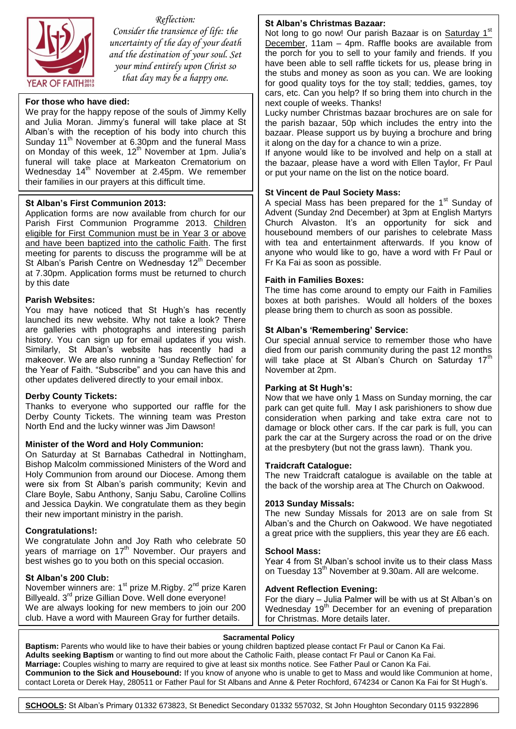

*Reflection: Consider the transience of life: the uncertainty of the day of your death and the destination of your soul. Set your mind entirely upon Christ so that day may be a happy one.*

#### **For those who have died:**

We pray for the happy repose of the souls of Jimmy Kelly and Julia Moran. Jimmy's funeral will take place at St Alban's with the reception of his body into church this Sunday 11<sup>th</sup> November at 6.30pm and the funeral Mass on Monday of this week,  $12<sup>th</sup>$  November at 1pm. Julia's funeral will take place at Markeaton Crematorium on Wednesday 14<sup>th</sup> November at 2.45pm. We remember their families in our prayers at this difficult time.

#### **St Alban's First Communion 2013:**

Application forms are now available from church for our Parish First Communion Programme 2013. Children eligible for First Communion must be in Year 3 or above and have been baptized into the catholic Faith. The first meeting for parents to discuss the programme will be at St Alban's Parish Centre on Wednesday 12<sup>th</sup> December at 7.30pm. Application forms must be returned to church by this date

#### **Parish Websites:**

You may have noticed that St Hugh's has recently launched its new website. Why not take a look? There are galleries with photographs and interesting parish history. You can sign up for email updates if you wish. Similarly, St Alban's website has recently had a makeover. We are also running a 'Sunday Reflection' for the Year of Faith. "Subscribe" and you can have this and other updates delivered directly to your email inbox.

#### **Derby County Tickets:**

Thanks to everyone who supported our raffle for the Derby County Tickets. The winning team was Preston North End and the lucky winner was Jim Dawson!

#### **Minister of the Word and Holy Communion:**

On Saturday at St Barnabas Cathedral in Nottingham, Bishop Malcolm commissioned Ministers of the Word and Holy Communion from around our Diocese. Among them were six from St Alban's parish community; Kevin and Clare Boyle, Sabu Anthony, Sanju Sabu, Caroline Collins and Jessica Daykin. We congratulate them as they begin their new important ministry in the parish.

#### **Congratulations!:**

We congratulate John and Joy Rath who celebrate 50 years of marriage on  $17<sup>th</sup>$  November. Our prayers and best wishes go to you both on this special occasion.

#### **St Alban's 200 Club:**

November winners are: 1<sup>st</sup> prize M.Rigby. 2<sup>nd</sup> prize Karen Billyeald. 3<sup>rd</sup> prize Gillian Dove. Well done everyone! We are always looking for new members to join our 200 club. Have a word with Maureen Gray for further details.

#### **St Alban's Christmas Bazaar:**

Not long to go now! Our parish Bazaar is on Saturday 1<sup>st</sup> December, 11am – 4pm. Raffle books are available from the porch for you to sell to your family and friends. If you have been able to sell raffle tickets for us, please bring in the stubs and money as soon as you can. We are looking for good quality toys for the toy stall; teddies, games, toy cars, etc. Can you help? If so bring them into church in the next couple of weeks. Thanks!

Lucky number Christmas bazaar brochures are on sale for the parish bazaar, 50p which includes the entry into the bazaar. Please support us by buying a brochure and bring it along on the day for a chance to win a prize.

If anyone would like to be involved and help on a stall at the bazaar, please have a word with Ellen Taylor, Fr Paul or put your name on the list on the notice board.

#### **St Vincent de Paul Society Mass:**

A special Mass has been prepared for the  $1<sup>st</sup>$  Sunday of Advent (Sunday 2nd December) at 3pm at English Martyrs Church Alvaston. It's an opportunity for sick and housebound members of our parishes to celebrate Mass with tea and entertainment afterwards. If you know of anyone who would like to go, have a word with Fr Paul or Fr Ka Fai as soon as possible.

#### **Faith in Families Boxes:**

The time has come around to empty our Faith in Families boxes at both parishes. Would all holders of the boxes please bring them to church as soon as possible.

#### **St Alban's 'Remembering' Service:**

Our special annual service to remember those who have died from our parish community during the past 12 months will take place at St Alban's Church on Saturday  $17<sup>th</sup>$ November at 2pm.

#### **Parking at St Hugh's:**

Now that we have only 1 Mass on Sunday morning, the car park can get quite full. May I ask parishioners to show due consideration when parking and take extra care not to damage or block other cars. If the car park is full, you can park the car at the Surgery across the road or on the drive at the presbytery (but not the grass lawn). Thank you.

#### **Traidcraft Catalogue:**

The new Traidcraft catalogue is available on the table at the back of the worship area at The Church on Oakwood.

#### **2013 Sunday Missals:**

The new Sunday Missals for 2013 are on sale from St Alban's and the Church on Oakwood. We have negotiated a great price with the suppliers, this year they are £6 each.

#### **School Mass:**

Year 4 from St Alban's school invite us to their class Mass on Tuesday 13<sup>th</sup> November at 9.30am. All are welcome.

#### **Advent Reflection Evening:**

For the diary – Julia Palmer will be with us at St Alban's on Wednesday 19<sup>th</sup> December for an evening of preparation for Christmas. More details later.

#### **Sacramental Policy**

 **Adults seeking Baptism** or wanting to find out more about the Catholic Faith, please contact Fr Paul or Canon Ka Fai. **Baptism:** Parents who would like to have their babies or young children baptized please contact Fr Paul or Canon Ka Fai. **Marriage:** Couples wishing to marry are required to give at least six months notice. See Father Paul or Canon Ka Fai. **Communion to the Sick and Housebound:** If you know of anyone who is unable to get to Mass and would like Communion at home, contact Loreta or Derek Hay, 280511 or Father Paul for St Albans and Anne & Peter Rochford, 674234 or Canon Ka Fai for St Hugh's.